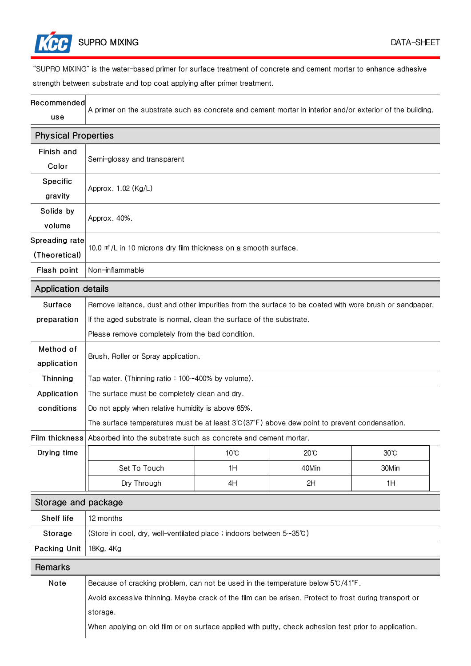

"SUPRO MIXING" is the water-based primer for surface treatment of concrete and cement mortar to enhance adhesive strength between substrate and top coat applying after primer treatment.

| Recommended |                                                                                                           |
|-------------|-----------------------------------------------------------------------------------------------------------|
|             | A primer on the substrate such as concrete and cement mortar in interior and/or exterior of the building. |
| use         |                                                                                                           |

## Physical Properties

| Finish and                 | Semi-glossy and transparent                                                                               |                |                |                |  |
|----------------------------|-----------------------------------------------------------------------------------------------------------|----------------|----------------|----------------|--|
| Color                      |                                                                                                           |                |                |                |  |
| Specific                   | Approx. 1.02 (Kg/L)                                                                                       |                |                |                |  |
| gravity                    |                                                                                                           |                |                |                |  |
| Solids by                  | Approx. 40%.                                                                                              |                |                |                |  |
| volume                     |                                                                                                           |                |                |                |  |
| Spreading rate             | 10.0 m <sup>*</sup> /L in 10 microns dry film thickness on a smooth surface.                              |                |                |                |  |
| (Theoretical)              |                                                                                                           |                |                |                |  |
| Flash point                | Non-inflammable                                                                                           |                |                |                |  |
| <b>Application details</b> |                                                                                                           |                |                |                |  |
| Surface                    | Remove laitance, dust and other impurities from the surface to be coated with wore brush or sandpaper.    |                |                |                |  |
| preparation                | If the aged substrate is normal, clean the surface of the substrate.                                      |                |                |                |  |
|                            | Please remove completely from the bad condition.                                                          |                |                |                |  |
| Method of                  |                                                                                                           |                |                |                |  |
| application                | Brush, Roller or Spray application.                                                                       |                |                |                |  |
| Thinning                   | Tap water. (Thinning ratio: 100~400% by volume).                                                          |                |                |                |  |
| Application                | The surface must be completely clean and dry.                                                             |                |                |                |  |
| conditions                 | Do not apply when relative humidity is above 85%.                                                         |                |                |                |  |
|                            | The surface temperatures must be at least $3^\circ (37^\circ F)$ above dew point to prevent condensation. |                |                |                |  |
| Film thickness             | Absorbed into the substrate such as concrete and cement mortar.                                           |                |                |                |  |
| Drying time                |                                                                                                           | $10^{\circ}$ C | $20^{\circ}$ C | $30^{\circ}$ C |  |
|                            | Set To Touch                                                                                              | 1H             | 40Min          | 30Min          |  |
|                            | Dry Through                                                                                               | 4H             | 2H             | 1H             |  |
| Storage and package        |                                                                                                           |                |                |                |  |
| Shelf life                 | 12 months                                                                                                 |                |                |                |  |
| Storage                    | (Store in cool, dry, well-ventilated place ; indoors between 5~35°C)                                      |                |                |                |  |
| Packing Unit               | 18Kg, 4Kg                                                                                                 |                |                |                |  |
| Remarks                    |                                                                                                           |                |                |                |  |
| Note                       | Because of cracking problem, can not be used in the temperature below 5°C/41°F.                           |                |                |                |  |
|                            | Avoid excessive thinning. Maybe crack of the film can be arisen. Protect to frost during transport or     |                |                |                |  |

storage.

When applying on old film or on surface applied with putty, check adhesion test prior to application.